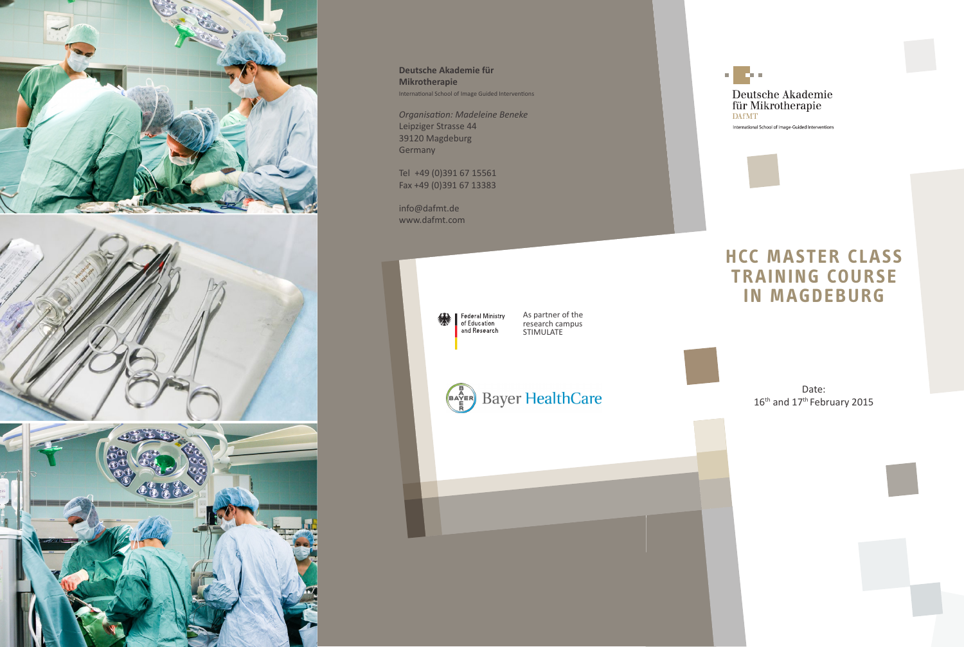



**Deutsche Akademie für Mikrotherapie** International School of Image Guided Interventions

*Organisation: Madeleine Beneke* Leipziger Strasse 44 39120 Magdeburg **Germany** 

Tel +49 (0)391 67 15561 Fax +49 (0)391 67 13383

info@dafmt.de www.dafmt.com

> Federal Ministry<br>of Education and Research

As partner of the research campus STIMULATE



Deutsche Akademie<br>für Mikrotherapie **DAfMT** International School of Image-Guided Interventions

al Bar

## **HCC MASTER CLASS TRAINING COURSE IN MAGDEBURG**

Date: 16<sup>th</sup> and 17<sup>th</sup> February 2015